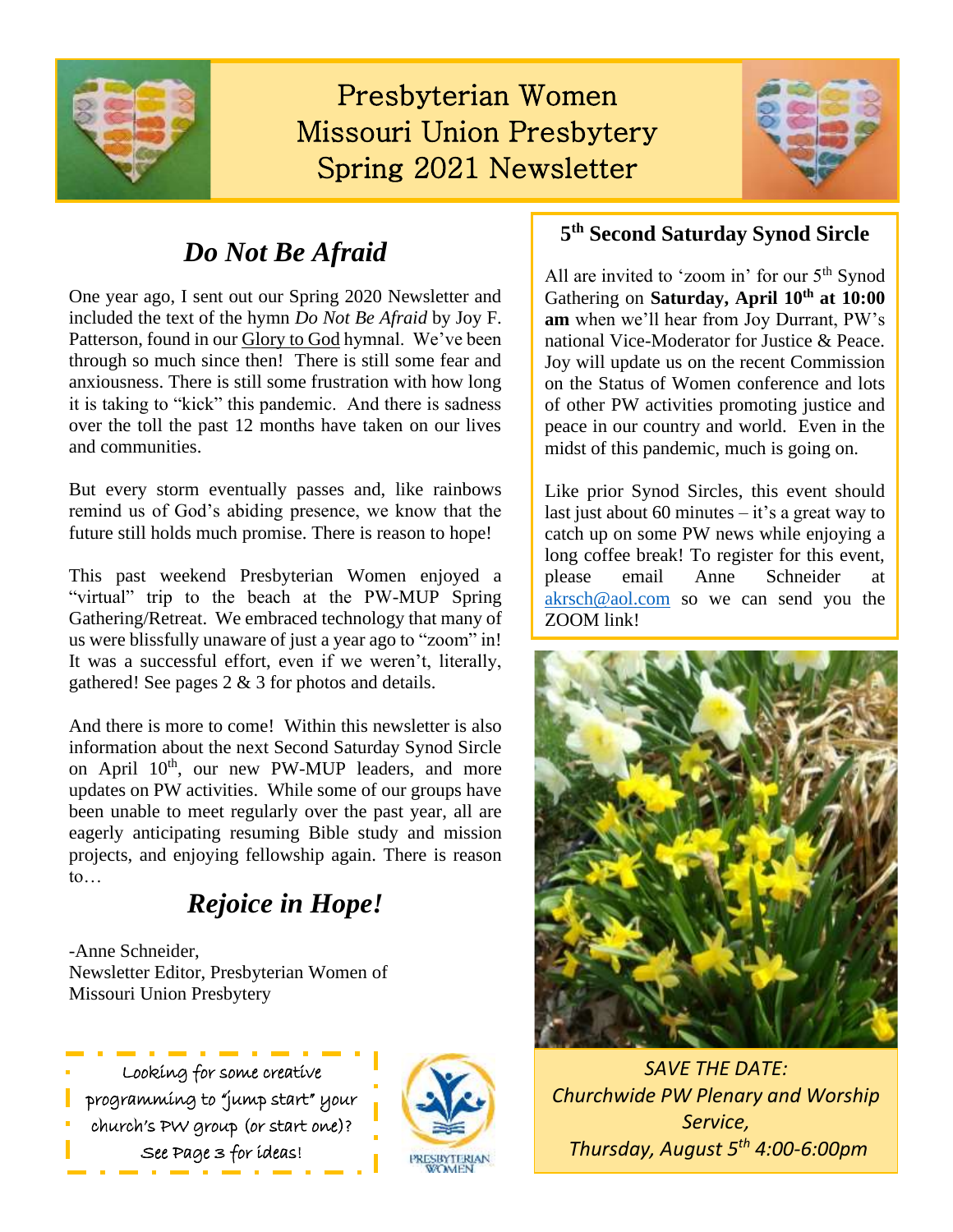

# Presbyterian Women Missouri Union Presbytery Spring 2021 Newsletter



### *Do Not Be Afraid*

One year ago, I sent out our Spring 2020 Newsletter and included the text of the hymn *Do Not Be Afraid* by Joy F. Patterson, found in our Glory to God hymnal. We've been through so much since then! There is still some fear and anxiousness. There is still some frustration with how long it is taking to "kick" this pandemic. And there is sadness over the toll the past 12 months have taken on our lives and communities.

But every storm eventually passes and, like rainbows remind us of God's abiding presence, we know that the future still holds much promise. There is reason to hope!

This past weekend Presbyterian Women enjoyed a "virtual" trip to the beach at the PW-MUP Spring Gathering/Retreat. We embraced technology that many of us were blissfully unaware of just a year ago to "zoom" in! It was a successful effort, even if we weren't, literally, gathered! See pages 2 & 3 for photos and details.

And there is more to come! Within this newsletter is also information about the next Second Saturday Synod Sircle on April  $10^{th}$ , our new PW-MUP leaders, and more updates on PW activities. While some of our groups have been unable to meet regularly over the past year, all are eagerly anticipating resuming Bible study and mission projects, and enjoying fellowship again. There is reason to…

### *Rejoice in Hope!*

-Anne Schneider, Newsletter Editor, Presbyterian Women of Missouri Union Presbytery





### **5 th Second Saturday Synod Sircle**

All are invited to 'zoom in' for our 5<sup>th</sup> Synod Gathering on **Saturday, April 10th at 10:00 am** when we'll hear from Joy Durrant, PW's national Vice-Moderator for Justice & Peace. Joy will update us on the recent Commission on the Status of Women conference and lots of other PW activities promoting justice and peace in our country and world. Even in the midst of this pandemic, much is going on.

Like prior Synod Sircles, this event should last just about 60 minutes  $-$  it's a great way to catch up on some PW news while enjoying a long coffee break! To register for this event, please email Anne Schneider at [akrsch@aol.com](mailto:akrsch@aol.com) so we can send you the ZOOM link!



*SAVE THE DATE: Churchwide PW Plenary and Worship Service, Thursday, August 5th 4:00-6:00pm*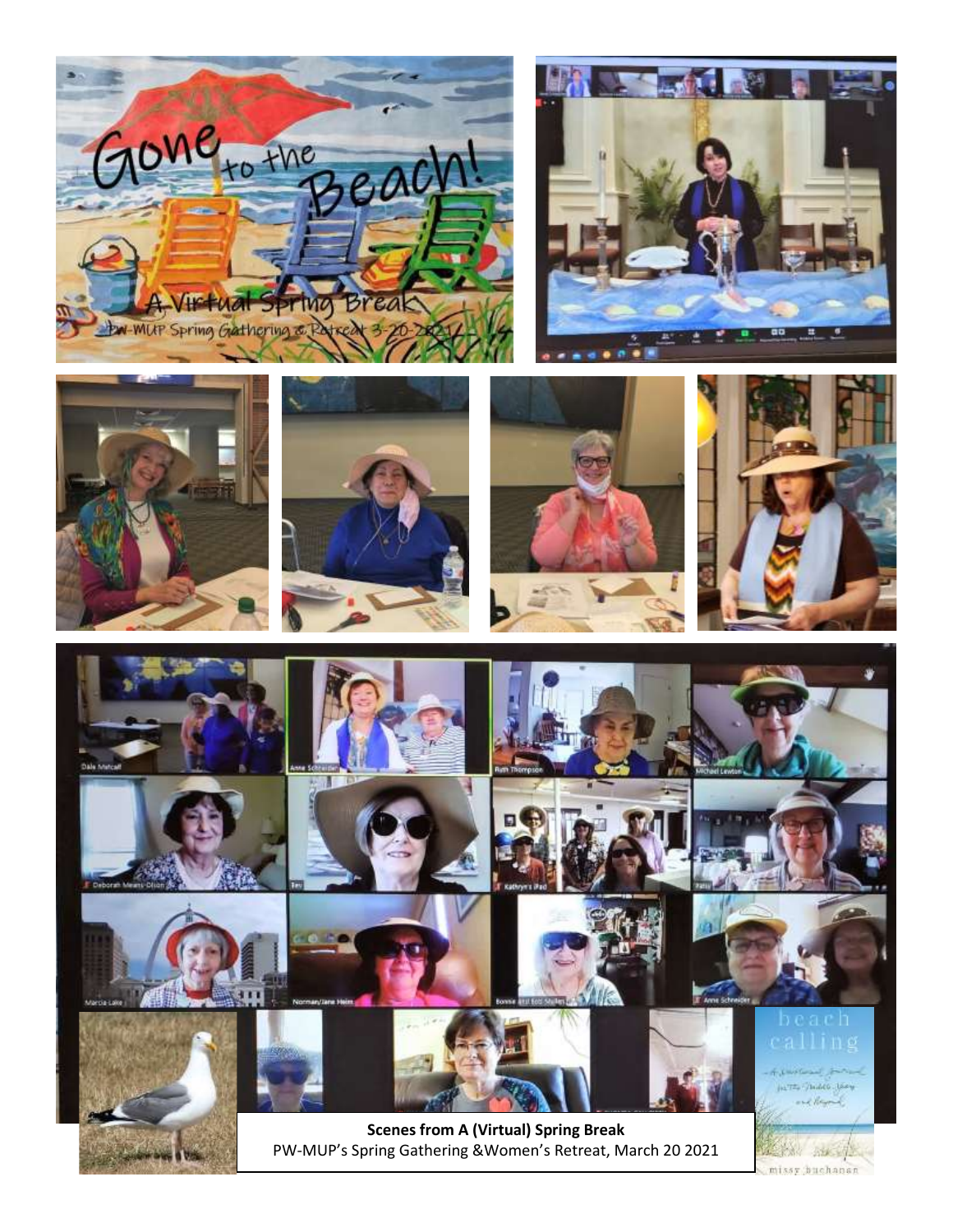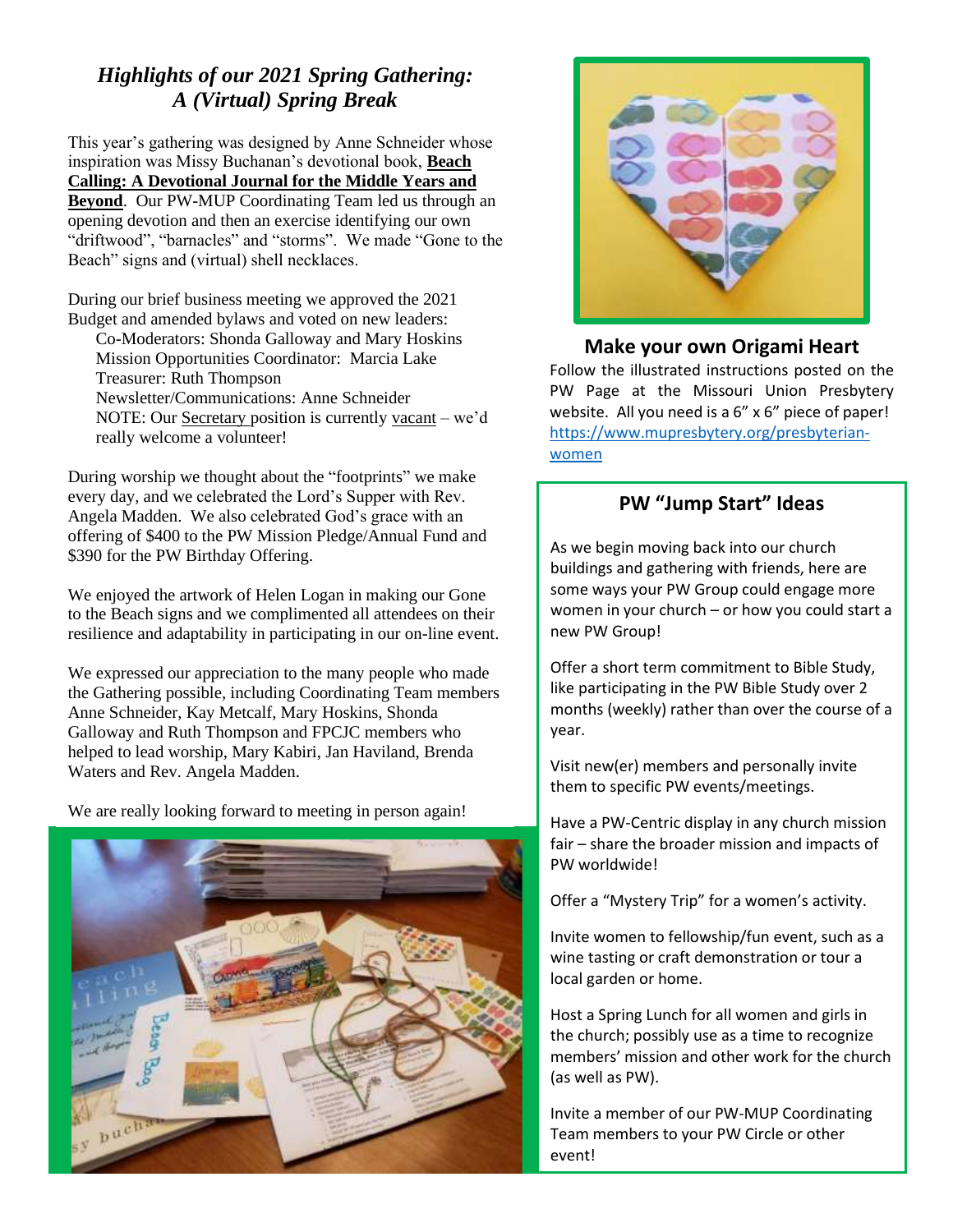### *Highlights of our 2021 Spring Gathering: A (Virtual) Spring Break*

This year's gathering was designed by Anne Schneider whose inspiration was Missy Buchanan's devotional book, **Beach Calling: A Devotional Journal for the Middle Years and Beyond**. Our PW-MUP Coordinating Team led us through an opening devotion and then an exercise identifying our own "driftwood", "barnacles" and "storms". We made "Gone to the Beach" signs and (virtual) shell necklaces.

During our brief business meeting we approved the 2021 Budget and amended bylaws and voted on new leaders:

Co-Moderators: Shonda Galloway and Mary Hoskins Mission Opportunities Coordinator: Marcia Lake Treasurer: Ruth Thompson Newsletter/Communications: Anne Schneider NOTE: Our Secretary position is currently vacant – we'd really welcome a volunteer!

During worship we thought about the "footprints" we make every day, and we celebrated the Lord's Supper with Rev. Angela Madden. We also celebrated God's grace with an offering of \$400 to the PW Mission Pledge/Annual Fund and \$390 for the PW Birthday Offering.

We enjoyed the artwork of Helen Logan in making our Gone to the Beach signs and we complimented all attendees on their resilience and adaptability in participating in our on-line event.

We expressed our appreciation to the many people who made the Gathering possible, including Coordinating Team members Anne Schneider, Kay Metcalf, Mary Hoskins, Shonda Galloway and Ruth Thompson and FPCJC members who helped to lead worship, Mary Kabiri, Jan Haviland, Brenda Waters and Rev. Angela Madden.

We are really looking forward to meeting in person again!





#### **Make your own Origami Heart**

Follow the illustrated instructions posted on the PW Page at the Missouri Union Presbytery website. All you need is a 6" x 6" piece of paper! [https://www.mupresbytery.org/presbyterian](https://www.mupresbytery.org/presbyterian-women)[women](https://www.mupresbytery.org/presbyterian-women)

#### **PW "Jump Start" Ideas**

As we begin moving back into our church buildings and gathering with friends, here are some ways your PW Group could engage more women in your church – or how you could start a new PW Group!

Offer a short term commitment to Bible Study, like participating in the PW Bible Study over 2 months (weekly) rather than over the course of a year.

Visit new(er) members and personally invite them to specific PW events/meetings.

Have a PW-Centric display in any church mission fair – share the broader mission and impacts of PW worldwide!

Offer a "Mystery Trip" for a women's activity.

Invite women to fellowship/fun event, such as a wine tasting or craft demonstration or tour a local garden or home.

Host a Spring Lunch for all women and girls in the church; possibly use as a time to recognize members' mission and other work for the church (as well as PW).

Invite a member of our PW-MUP Coordinating Team members to your PW Circle or other event!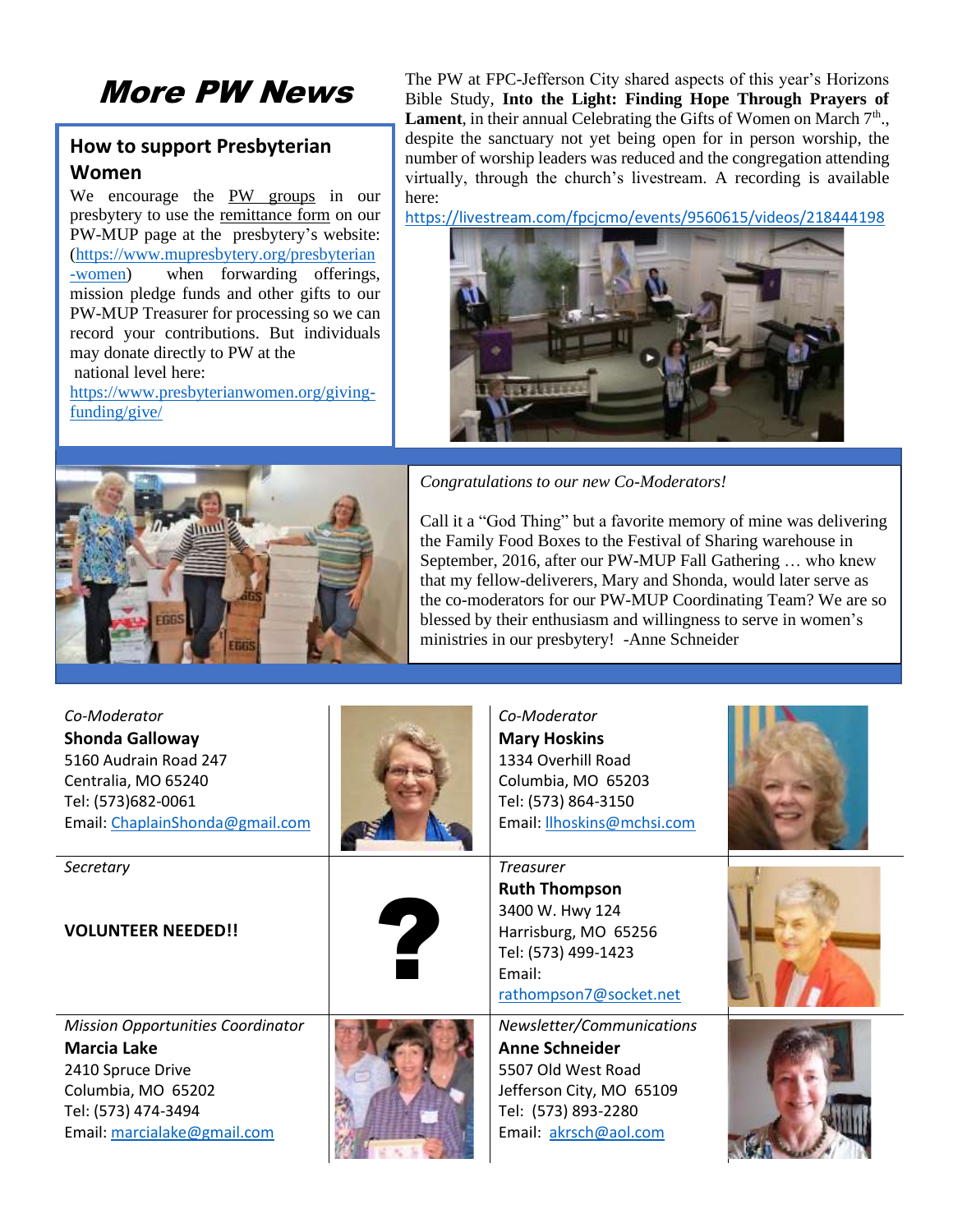## More PW News

#### **How to support Presbyterian Women**

We encourage the PW groups in our presbytery to use the remittance form on our PW-MUP page at the presbytery's website: [\(https://www.mupresbytery.org/presbyterian](https://www.mupresbytery.org/presbyterian-women) [-women\)](https://www.mupresbytery.org/presbyterian-women) when forwarding offerings, mission pledge funds and other gifts to our PW-MUP Treasurer for processing so we can record your contributions. But individuals may donate directly to PW at the national level here:

[https://www.presbyterianwomen.org/giving](https://www.presbyterianwomen.org/giving-funding/give/)[funding/give/](https://www.presbyterianwomen.org/giving-funding/give/)

The PW at FPC-Jefferson City shared aspects of this year's Horizons Bible Study, **Into the Light: Finding Hope Through Prayers of Lament**, in their annual Celebrating the Gifts of Women on March  $7<sup>th</sup>$ . despite the sanctuary not yet being open for in person worship, the number of worship leaders was reduced and the congregation attending virtually, through the church's livestream. A recording is available here:

<https://livestream.com/fpcjcmo/events/9560615/videos/218444198>





*Congratulations to our new Co-Moderators!*

Call it a "God Thing" but a favorite memory of mine was delivering the Family Food Boxes to the Festival of Sharing warehouse in September, 2016, after our PW-MUP Fall Gathering … who knew that my fellow-deliverers, Mary and Shonda, would later serve as the co-moderators for our PW-MUP Coordinating Team? We are so blessed by their enthusiasm and willingness to serve in women's ministries in our presbytery! -Anne Schneider

| Co-Moderator<br><b>Shonda Galloway</b><br>5160 Audrain Road 247<br>Centralia, MO 65240<br>Tel: (573)682-0061<br>Email: ChaplainShonda@gmail.com                 |   | Co-Moderator<br><b>Mary Hoskins</b><br>1334 Overhill Road<br>Columbia, MO 65203<br>Tel: (573) 864-3150<br>Email: Ilhoskins@mchsi.com           |  |
|-----------------------------------------------------------------------------------------------------------------------------------------------------------------|---|------------------------------------------------------------------------------------------------------------------------------------------------|--|
| Secretary<br><b>VOLUNTEER NEEDED!!</b>                                                                                                                          | 7 | <b>Treasurer</b><br><b>Ruth Thompson</b><br>3400 W. Hwy 124<br>Harrisburg, MO 65256<br>Tel: (573) 499-1423<br>Email:<br>rathompson7@socket.net |  |
| <b>Mission Opportunities Coordinator</b><br><b>Marcia Lake</b><br>2410 Spruce Drive<br>Columbia, MO 65202<br>Tel: (573) 474-3494<br>Email: marcialake@gmail.com |   | Newsletter/Communications<br>Anne Schneider<br>5507 Old West Road<br>Jefferson City, MO 65109<br>Tel: (573) 893-2280<br>Email: akrsch@aol.com  |  |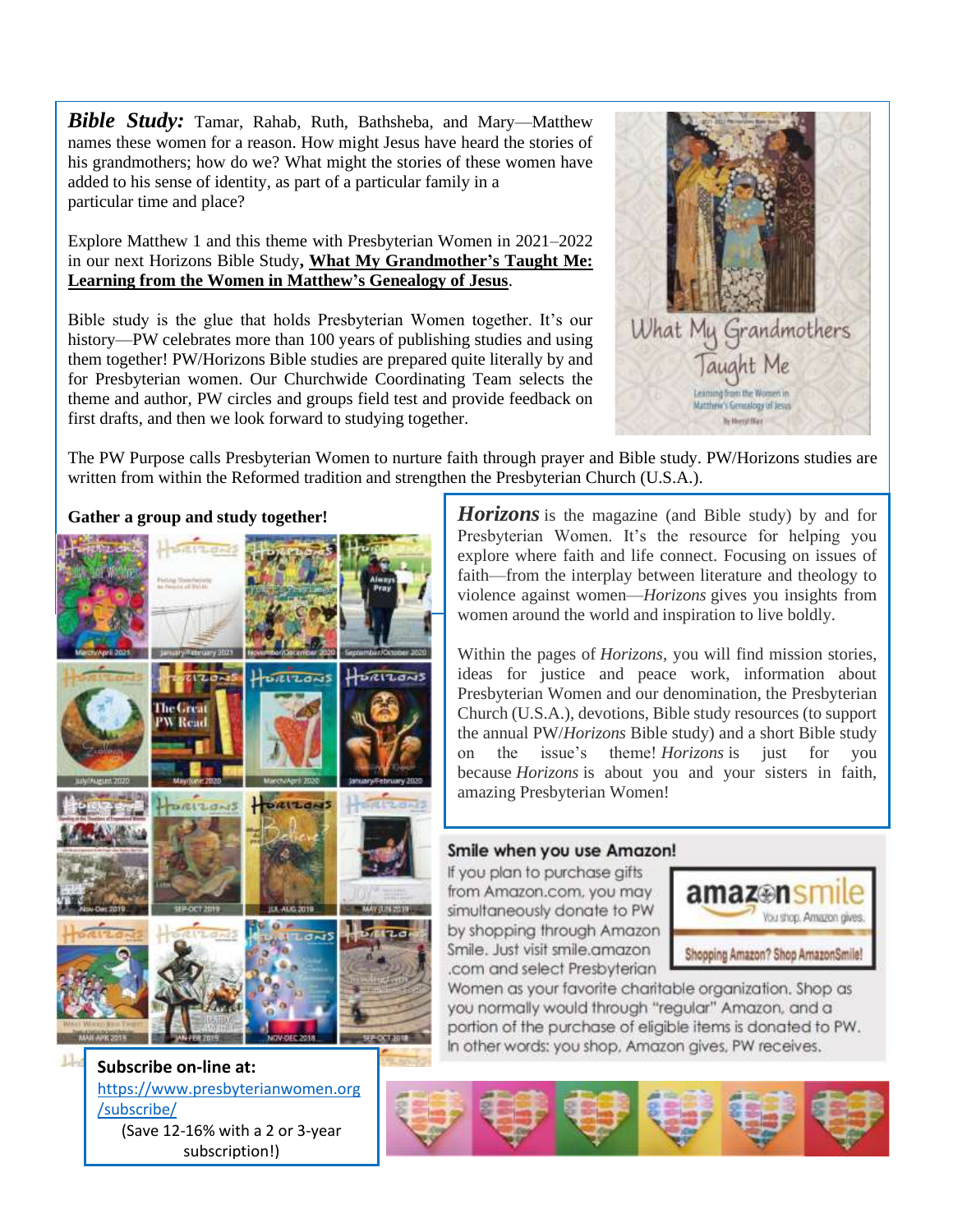*Bible Study:* Tamar, Rahab, Ruth, Bathsheba, and Mary—Matthew names these women for a reason. How might Jesus have heard the stories of his grandmothers; how do we? What might the stories of these women have added to his sense of identity, as part of a particular family in a particular time and place?

Explore Matthew 1 and this theme with Presbyterian Women in 2021–2022 in our next Horizons Bible Study**, What My Grandmother's Taught Me: Learning from the Women in Matthew's Genealogy of Jesus**.

Bible study is the glue that holds Presbyterian Women together. It's our history—PW celebrates more than 100 years of publishing studies and using them together! PW/Horizons Bible studies are prepared quite literally by and for Presbyterian women. Our Churchwide Coordinating Team selects the theme and author, PW circles and groups field test and provide feedback on first drafts, and then we look forward to studying together.



The PW Purpose calls Presbyterian Women to nurture faith through prayer and Bible study. PW/Horizons studies are written from within the Reformed tradition and strengthen the Presbyterian Church (U.S.A.).



[https://www.presbyterianwomen.org](https://www.presbyterianwomen.org/subscribe/) [/subscribe/](https://www.presbyterianwomen.org/subscribe/) (Save 12-16% with a 2 or 3-year subscription!)

**Gather a group and study together!** *Horizons* is the magazine (and Bible study) by and for Presbyterian Women. It's the resource for helping you explore where faith and life connect. Focusing on issues of faith—from the interplay between literature and theology to violence against women—*Horizons* gives you insights from women around the world and inspiration to live boldly.

> Within the pages of *Horizons*, you will find mission stories, ideas for justice and peace work, information about Presbyterian Women and our denomination, the Presbyterian Church (U.S.A.), devotions, Bible study resources (to support the annual PW/*Horizons* Bible study) and a short Bible study on the issue's theme! *Horizons* is just for you because *Horizons* is about you and your sisters in faith, amazing Presbyterian Women!

> A print subscription to *Horizons* includes five issues of the

#### Smile when you use Amazon!

If you plan to purchase gifts from Amazon.com, you may simultaneously donate to PW by shopping through Amazon Smile, Just visit smile.amazon .com and select Presbyterian



Women as your favorite charitable organization. Shop as you normally would through "regular" Amazon, and a portion of the purchase of eligible items is donated to PW. In other words: you shop, Amazon gives, PW receives,